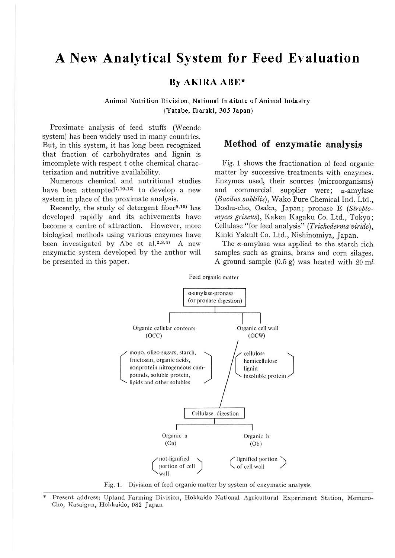# **A New Analytical System for Feed Evaluation**

## **By A KIRA ABE\***

#### **Animal Nutrition Division, National Institute of Animal Industry (Yatabe, Ibaraki, 305 Japan)**

Proximate analysis of feed stuffs (Weende system) has been widely used in many countries. But, in this system, it has long been recognized that fraction of carbohydrates and lignin is imcomplete with respect t othe chemical characterization and nutritive availability.

Numerous chemical and nutritional studies have been attempted<sup>7,10,12</sup> to develop a new system in place of the proximate analysis.

Recently, the study of detergent fiber<sup>9,10</sup> has developed rapidly and its achivements have become a centre of attraction. However, more biological methods using various enzymes have been investigated by Abe et al.<sup>2,3,4</sup> A new enzymatic system developed by the author will be presented in this paper.

### **Method of enzymatic analysis**

Fig. 1 shows the fractionation of feed organic matter by successive treatments with enzymes. Enzymes used, their sources (microorganisms) and commercial supplier were;  $\alpha$ -amylase *(Bacilits sitbtilis),* Wako Pure Chemical Ind. Ltd.,. Doshu-cho, Osaka, Japan; pronase E *(Streptomyces griseus),* Kaken Kagaku Co. Ltd., Tokyo; Cellulase "for feed analysis" *(Trichoderma viride),.*  Kinki Yakult Co. Ltd., Nishinomiya, Japan.

The  $\alpha$ -amylase was applied to the starch rich samples such as grains, brans and corn silages. A ground sample  $(0.5 \text{ g})$  was heated with  $20 \text{ m}$ 

Feed organic matter



Fig. 1. Division of feed organic matter by system of enzymatic analysis

Present address: Upland Farming Division, Hokkaido National Agricultural Experiment Station, Memuro-Cho, Kasaigun, Hokkaido, 082 Japan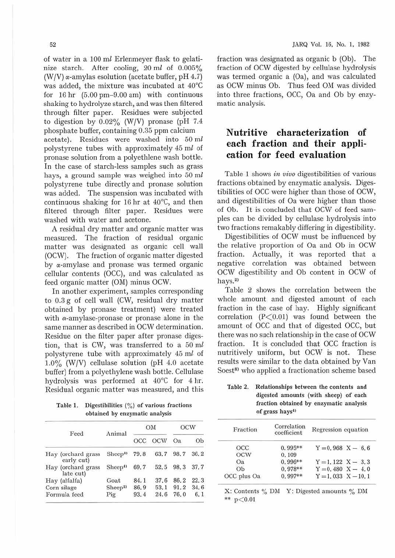of water in a 100 ml Erlenmeyer flask to gelatinize starch. After cooling, 20 *ml* of 0.005% (W/V)  $\alpha$ -amylas esolution (acetate buffer, pH 4.7) was added, the mixture was incubated at 40°C for 16 hr (5.00 pm-9.00 am) with continuous shaking to hydrolyze starch, and was then filtered through filter paper. Residues were subjected to digestion by  $0.02\%$  (W/V) pronase (pH 7.4 phosphate buffer, containing 0.35 ppm calcium acetate). Residues were washed into 50 *ml*  polystyrene tubes with approximately 45 *mt* of pronase solution from a polyethlene wash bottle. In the case of starch-less samples such as grass hays, a ground sample was weighed into 50 ml polystyrene tube directly and pronase solution was added. The suspension was incubated with continuous shaking for 16 hr at  $40^{\circ}$ C, and then filtered through filter paper. Residues were washed with water and acetone.

A residual dry matter and organic matter was measured. The fraction of residual organic matter was designated as organic cell wall (OCW). The fraction of organic matter digested by a-amylase and pronase was termed organic cellular contents (OCC), and was calculated as feed otganic matter (OM) minus OCW.

In another experiment, samples corresponding to 0.3 g of cell wall (CW, residual dry matter obtained by pronase treatment) were treated with  $\alpha$ -amylase-pronase or pronase alone in the same manner as described in OCW determination. Residue on the filter paper after pronase digestion, that is CW, was transferred to a 50 *ml*  polystyrene tube with approximately 45 ml of 1.0% (W/V) cellulase solution (pH 4.0 acetate buffer) from a polyethylene wash bottle. Cellulase hydrolysis was performed at 40°C for 4 hr. Residual organic matter was measured, and this

Table 1. Digestibilities  $\binom{0}{0}$  of various fractions obtained by enzymatic analysis

| Feed                             | Animal             |      | OM         | OCW  |      |  |
|----------------------------------|--------------------|------|------------|------|------|--|
|                                  |                    | OCC  | <b>OCW</b> | Oa.  | Ob   |  |
| Hay (orchard grass<br>early cut) | Sheep <sup>4</sup> | 79.8 | 63.7 98.7  |      | 36.2 |  |
| Hay (orchard grass<br>late cut)  | Sheep <sup>4</sup> | 69.7 | 52.5       | 98.3 | 37.7 |  |
| Hay (alfalfa)                    | Goat               | 84.1 | 37.6       | 86.2 | 22.3 |  |
| Corn silage                      | Sheep <sup>2</sup> | 86.9 | 53.1       | 91.2 | 34.6 |  |
| Formula feed                     | Pig                | 93.4 | 24.6       | 76.0 | 6.1  |  |
|                                  |                    |      |            |      |      |  |

fraction was designated as organic b (Ob). The fraction of OCW digested by cellulase hydrolysis was termed organic a (Oa), and was calculated as OCW minus Ob. Thus feed OM was divided into three fractions, OCC, Oa and Ob by enzymatic analysis.

## **Nutritive characterization of each fraction and their application for feed evaluation**

Table 1 shows *in vivo* digestibilities of various fractions obtained by enzymatic analysis. Digestibilities of OCC were higher than those of OCW, and digestibilities of Oa were higher than those of Ob. It is concluded that OCW of feed samples can be divided by cellulase hydrolysis into two fractions remakably differing in digestibility.

Digestibilities of OCW must be influenced by the relative proportion of Oa and Ob in OCW fraction. Actually, it was reported that a negative correlation was obtained between OCW digestibility and Ob content in OCW of hays.<sup>2)</sup>

Table 2 shows the correlation between the whole amount and digested amount of each fraction in the case of hay. Highly significant correlation  $(P<0.01)$  was found between the amount of OCC and that of digested OCC, but there was no such relationship in the case of OCW fraction. It is concluded that OCC fraction is nutritively uniform, but OCW is not. These results were similar to the data obtained by Van Soest<sup>8)</sup> who applied a fractionation scheme based

Table 2. Relationships between the contents and digested amounts (with sheep) of each fraction obtained by enzymatic analysis of grass hays<sup>4)</sup>

| Fraction    | Correlation<br>coefficient | Regression equation    |  |  |  |  |
|-------------|----------------------------|------------------------|--|--|--|--|
| OCC         | $0.995**$                  | $Y = 0.968$ $X - 6.6$  |  |  |  |  |
| OCW         | 0.109                      |                        |  |  |  |  |
| Oa          | $0.996**$                  | $Y = 1,122$ $X - 3,3$  |  |  |  |  |
| Ob          | $0.978**$                  | $Y = 0.480 X - 4.0$    |  |  |  |  |
| OCC plus Oa | $0.997**$                  | $Y = 1,033$ $X - 10,1$ |  |  |  |  |

X: Contents  $\%$  DM Y: Digested amounts  $\%$  DM \*\*  $p < 0.01$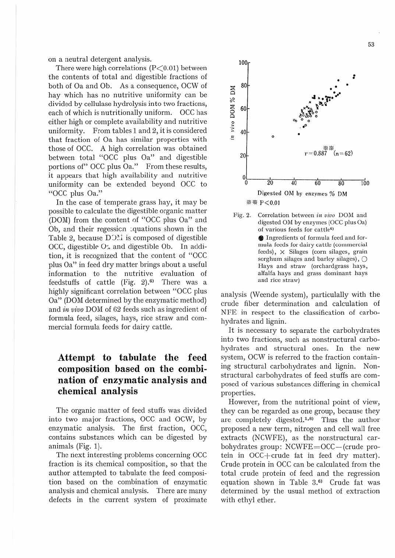on a neutral detergent analysis.

There were high correlations  $(P<0.01)$  between the contents of total and digestible fractions of both of Oa and Ob. As a consequence, OCW of hay which has no nutritive uniformity can be divided by cellulase hydrolysis into two fractions, each of which is nutritionally uniform. OCC has either high or complete availability and nutritive uniformity. From tables 1 and 2, it is considered that fraction of Oa has similar properties with those of OCC. A high correlation was obtained between total "OCC plus Oa" and digestible portions of" OCC plus Oa." From these results, it appears that high availability and nutritive uniformity can be extended beyond OCC to "OCC plus Oa."

In the case of temperate grass hay, it may be possible to calculate the digestible organic matter (DOM) from the content of "OCC plus Oa" and Ob, and their regession squations shown in the Table 2, because  $D$  $\Sigma$ . is composed of digestible OCC, digestible  $O\text{-}x$  and digestible Ob. In addition, it is recognized that the content of "OCC plus Oa" in feed dry matter brings about a useful information to the nutritive evaluation of feedstuffs of cattle  $(Fig, 2)$ .<sup>6</sup> There was a highly significant correlation between "OCC plus Oa" (DOM determined by the enzymatic method) and *in vivo* DOM of 62 feeds such as ingredient of formula feed, silages, hays, rice straw and commercial formula feeds for dairy cattle.

# **Attempt to tabulate the feed composition based on the combination of enzymatic analysis and chemical analysis**

The organic matter of feed stuffs was divided into two major fractions, OCC and OCW, by enzymatic analysis. The first fraction, OCC, contains substances which can be digested by animals (Fig. 1).

The next interesting problems concerning OCC fraction is its chemical composition, so that the author attempted to tabulate the feed composition based on the combination of enzymatic analysis and chemical analysis. There are many defects in the current system of proximate



Fig. 2. Correlation between *in vivo* DOM and digested OM by enzymes (OCC plus Oa) of various feeds for cattle<sup>6)</sup>

**•** Ingredients of formula feed and formula feeds Ior dairy cattle (commercial  $feeds$ ),  $\times$  Silages (corn silages, grain sorghum silages and barley silages),  $\bigcirc$ Hays and straw (orchardgrass hays, alfalfa hays and grass dominant hays and rice straw)

analysis (Weende system), particulally with the crude fiber determination and calculation of NFE in respect to the classification of carbohydrates and lignin.

It is necessary to separate the carbohydrates into two fractions, such as nonstructural carbohydrates and structural ones. In the new system, OCW is referred to the fraction containing structural carbohydrates and lignin. Nonstructural carbohydrates of feed stuffs are composed of various substances differing in chemical properties.

However, from the nutritional point of view, they can be regarded as one group, because they are completely digested.<sup>1,8)</sup> Thus the author proposed a new term, nitrogen and cell wall free extracts (NCWFE), as the nonstructural carbohydrates group: NCWFE=OCC-(crude protein in OCC+crude fat in feed dry matter). Crude protein in OCC can be calculated from the total crude protein of feed and the regression equation shown in Table  $3.6$ <sup>0</sup> Crude fat was determined by the usual method of extraction with ethyl ether.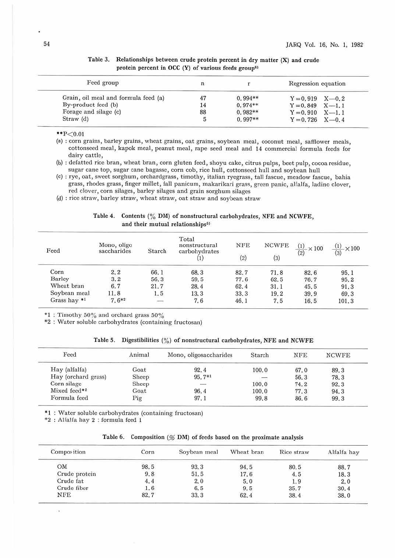| Feed group                           |    |           | Regression equation   |
|--------------------------------------|----|-----------|-----------------------|
| Grain, oil meal and formula feed (a) | 47 | $0.994**$ | $Y = 0.919$ $X = 0.2$ |
| By-product feed (b)                  |    | $0.974**$ | $Y = 0.849$ $X = 1.1$ |
| Forage and silage (c)                | 88 | $0.982**$ | $Y = 0.910$ $X = 1.1$ |
| $Straw$ (d)                          |    | $0.997**$ | $Y = 0.726$ $X = 0.4$ |

Table 3. Relationships between crude protein percent in dry matter **(X)** and crude protein percent in OCC  $(Y)$  of various feeds group<sup>6)</sup>

 $*P<0.01$ 

(a) : corn grains, barley grains, wheat grains, oat grains, soybean meal, coconut meal, safflower meals, cottonseed meal, kapok meal, peanut meal, rape seed meal and 14 commercial formula feeds for dairy cattle,

(b) : defatted rice bran, wheat bran, corn gluten feed, shoyu cake, citrus pulps, beet pulp, cocoa residue, sugar cane top, sugar cane bagasse, corn cob, *rice* hull, cottonseed hull and soybean hull

(c) : rye, oat, sweet sorghum, orchardgrass, timothy, italian ryegrass, tall fascue, meadow fascuc, bahia grass, rhodes grass, finger millet, fall panicum, makarikari grass, green panic, alfalfa, laclino clover, red clover, corn silages, barley silages and grain sorghum silages

(d) : rice straw, barley straw, wheat straw, oat straw and soybean straw

|                                              | Table 4. Contents (% DM) of nonstructural carbohydrates, NFE and NCWFE, |  |
|----------------------------------------------|-------------------------------------------------------------------------|--|
| and their mutual relationships <sup>5)</sup> |                                                                         |  |

| Feed         | Mono, oligo<br>saccharides | Starch  | Total<br>nonstructural<br>carbohydrates | <b>NFE</b><br>(2) | <b>NCWFE</b><br>(3) | $\frac{(1)}{(1)} \times 100$<br>(2) | (1)<br>$\times 100$<br>(3) |
|--------------|----------------------------|---------|-----------------------------------------|-------------------|---------------------|-------------------------------------|----------------------------|
| Corn         | 2, 2                       | 66.1    | 68.3                                    | 82.7              | 71.8                | 82.6                                | 95.1                       |
| Barley       | 3.2                        | 56.3    | 59.5                                    | 77.6              | 62.5                | 76.7                                | 95.2                       |
| Wheat bran   | 6.7                        | 21.7    | 28.4                                    | 62.4              | 31.1                | 45.5                                | 91.3                       |
| Soybean meal | 11.8                       | 1.5     | 13.3                                    | 33.3              | 19.2                | 39.9                                | 69.3                       |
| Grass hay *1 | $7.6*2$                    | -<br>-3 | 7.6                                     | 46.1              | 7.5                 | 16.5                                | 101.3                      |

 $*1$ : Timothy 50% and orchard grass 50%

\*2 : Water soluble carbohydrates (containing fructosan)

|  |  |  | Table 5. Digestibilities $\binom{0}{0}$ of nonstructural carbohydrates, NFE and NCWFE |  |  |  |
|--|--|--|---------------------------------------------------------------------------------------|--|--|--|
|--|--|--|---------------------------------------------------------------------------------------|--|--|--|

| Feed                | Animal | Mono, oligosaccharides | Starch | <b>NFE</b> | <b>NCWFE</b> |
|---------------------|--------|------------------------|--------|------------|--------------|
| Hay (alfalfa)       | Goat   | 92.4                   | 100.0  | 67.0       | 89.3         |
| Hay (orchard grass) | Sheep  | 95.7*1                 |        | 56.3       | 78.3         |
| Corn silage         | Sheep  | -                      | 100.0  | 74.2       | 92.3         |
| Mixed feed*2        | Goat   | 96.4                   | 100.0  | 77.3       | 94.3         |
| Formula feed        | Pig    | 97.1                   | 99.8   | 86.6       | 99.3         |

•1 : Water soluble carbohydrates (containing fructosan)

\*2 : Alfalfa hay 2 : formula fced 1

|  | Table 6. Composition (% DM) of feeds based on the proximate analysis |  |  |  |  |  |  |  |  |  |  |
|--|----------------------------------------------------------------------|--|--|--|--|--|--|--|--|--|--|
|--|----------------------------------------------------------------------|--|--|--|--|--|--|--|--|--|--|

| Composition   | Corn | Soybean meal | Wheat bran | Rice straw | Alfalfa hay |
|---------------|------|--------------|------------|------------|-------------|
| OM            | 98.5 | 93.3         | 94.5       | 80.5       | 88.7        |
| Crude protein | 9.8  | 51.5         | 17.6       | 4.5        | 18.3        |
| Crude fat     | 4.4  | 2.0          | 5.0        | 1.9        | 2.0         |
| Crude fiber   | 1.6  | 6.5          | 9.5        | 35.7       | 30.4        |
| NFE           | 82.7 | 33.3         | 62.4       | 38.4       | 38.0        |

o.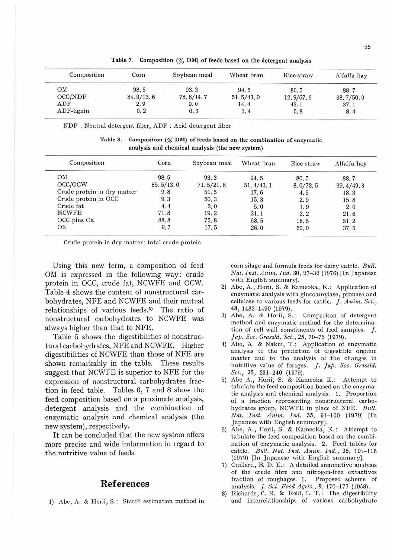| Composition   | Corn      | Soybean meal | Wheat bran | Rice straw | Alfalfa hay |
|---------------|-----------|--------------|------------|------------|-------------|
| OM            | 98.5      | 93.3         | 94.5       | 80.5       | 88.7        |
| OCC/NDF       | 84.9/13.6 | 78.6/14.7    | 51.5/43.0  | 12.9/67.6  | 38.7/50.0   |
| ADF           | 2.9       | 9.0          | 14.4       | 43.1       | 37.1        |
| $ADF$ -lignin | 0.2       | 0.3          | 3,4        | 5, 8       | 8.4         |

Table 7. Composition (% **DM)** of feeds based on the detergent analysis

NDF : Neutral detergent fiber, ADF : Acid detergent fiber

Table 8. Composition  $(\mathcal{C}$  DM) of feeds based on the combination of enzymatic analysis and chemical analysis (the new system)

| Composition                 | Corn      | Soybean meal | Wheat bran | Rice straw | Alfalfa hay |
|-----------------------------|-----------|--------------|------------|------------|-------------|
| OM                          | 98.5      | 93.3         | 94.5       | 80.5       | 88.7        |
| OCC/OCW                     | 85.5/13.0 | 71.5/21.8    | 51.4/43.1  | 8,0/72,5   | 39.4/49.3   |
| Crude protein in dry matter | 9.8       | 51.5         | 17.6       | 4.5        | 18.3        |
| Crude protein in OCC        | 9.3       | 50.3         | 15.3       | 2.9        | 15.8        |
| Crude fat                   | 4.4       | 2.0          | 5.0        | 1.9        | 2.0         |
| <b>NCWFE</b>                | 71.8      | 19.2         | 31.1       | 3.2        | 21.6        |
| OCC plus Oa                 | 88.8      | 75.8         | 68.5       | 18.5       | 51.2        |
| Ob                          | 9.7       | 17.5         | 26.0       | 62.0       | 37.5        |

Crude protein in dry matter: total crude protein

Using this new term, a composition of feed OM is expressed in the following way: crude protein in OCC, crude fat, NCWFE and OCW. Table 4 shows the content of nonstructural carbohydrates, NFE and NCWFE and their mutual relationships of various feeds.<sup>5)</sup> The ratio of nonstructural carbohydrates to NCWFE was always higher than that to NFE.

Table 5 shows the digestibilities of nonstructural carbohydrates, NFE and NCWFE. Higher digestibilities of NCWFE than those of NFE are shown remarkably in the table. These results suggest that NCWFE is superior to NFE for the expression of nonstructural carbohydrates fraction in feed table. Tables G, 7 and 8 show the feed composition based on a proximate analysis, detergent analysis and the combination of enzymatic analysis and chemical analysis (the new system), respectively.

It can be concluded that the new system offers more precise and wide imformation in regard to the nutritive value of feeds.

#### **References**

1} Abe, A. & Horii, S.: Starch estimation method in

corn silage and formula feeds for dairy cattle. *Bttll. Nat. Inst. Anim. Ind.* 30, 27-32 (1976) [In Japanese with English summary).

- 2) Abe, A., Horii, S. & Kameoka, K.: Application of enzymatic analysis with glucoamylase, pronase and cellulase to various feeds for cattle. *J. Anim. Sci.,*  48, 1483-1490 (1979).
- 3) Abe, A. & Horii, S.: Comparison of detergent method and enzymatic method for the detennination of cell wall constituents of feed samples. *I*. *Jap . Soc. Gra.sshl. Sci. ,* 25, 70-75 (1979).
- 4) Abe, A. & Nakui, T.: Application of enzymatic analysis to the prediction of digestible organic matter and to the analysis of the changes in nutritive value of forages. *J. Jap. Soc. Grassld. Sci.,* 25, 231-240 (1979).
- 5) Abe A., Horii, S. & Kameoka K.: Attempt to tabulate the feed composition based on the enzymatic analysis and chemical analysis. 1. Proportion of a fraction representing nonstructural carbohydrates group, NCWFE in place of NFE. Bull. *Nat. Inst. Anim. Ind.* 35, 91-100 (1979) [In Japanese with English summary).
- 6) Abe, A., Horii, S. & Kameoka, K.: Attempt to tabulate the feed composition based on the combination of enzymatic analysis. 2. Feed tables for cattle. Bull. Nat. Inst. Anim. Ind., 35, 101-116 (1979) [In Japanese with English summary].
- 7) Gaillard, B. D. E.: A detailed summative analysis of the crude fibre and nitrogen-free extactives fraction of roughages. 1. Proposed scheme of analysis. *]. Sci. Food Agric.,* 9, 170-177 (1958).
- 8) Richards, C. R. & Reid, L. T.: The digestibility and interrelationships of various carbohydrate